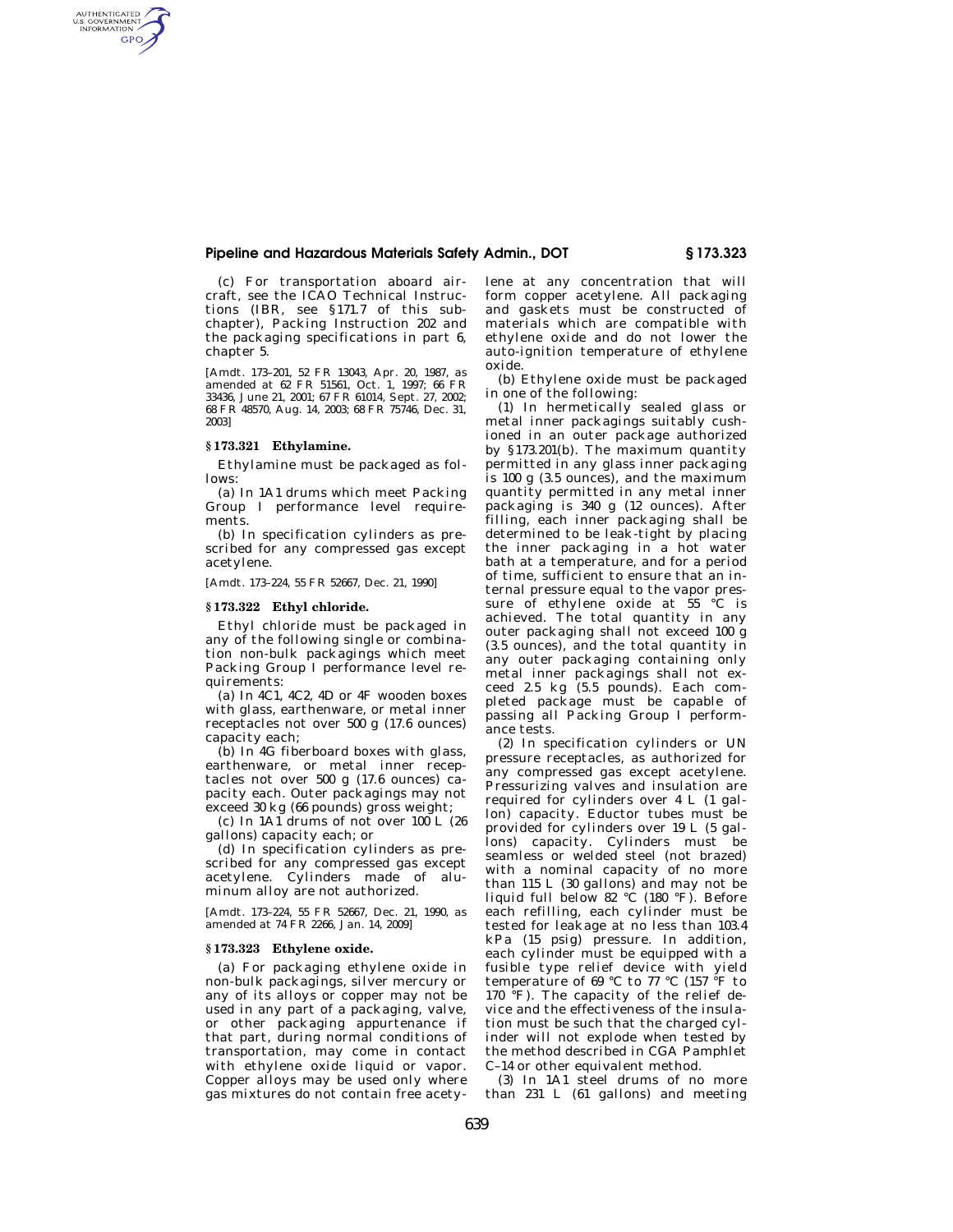## **Pipeline and Hazardous Materials Safety Admin., DOT § 173.323**

(c) For transportation aboard aircraft, see the ICAO Technical Instructions (IBR, see §171.7 of this subchapter), Packing Instruction 202 and the packaging specifications in part 6, chapter 5.

[Amdt. 173–201, 52 FR 13043, Apr. 20, 1987, as amended at 62 FR 51561, Oct. 1, 1997; 66 FR 33436, June 21, 2001; 67 FR 61014, Sept. 27, 2002; 68 FR 48570, Aug. 14, 2003; 68 FR 75746, Dec. 31, 2003]

## **§ 173.321 Ethylamine.**

AUTHENTICATED<br>U.S. GOVERNMENT<br>INFORMATION GPO

> Ethylamine must be packaged as follows:

> (a) In 1A1 drums which meet Packing Group I performance level requirements.

> (b) In specification cylinders as prescribed for any compressed gas except acetylene.

[Amdt. 173–224, 55 FR 52667, Dec. 21, 1990]

## **§ 173.322 Ethyl chloride.**

Ethyl chloride must be packaged in any of the following single or combination non-bulk packagings which meet Packing Group I performance level requirements:

(a) In 4C1, 4C2, 4D or 4F wooden boxes with glass, earthenware, or metal inner receptacles not over 500 g (17.6 ounces) capacity each;

(b) In 4G fiberboard boxes with glass, earthenware, or metal inner receptacles not over 500 g (17.6 ounces) capacity each. Outer packagings may not exceed 30 kg (66 pounds) gross weight;

(c) In  $1\overline{A1}$  drums of not over  $100$  L (26) gallons) capacity each; or

(d) In specification cylinders as prescribed for any compressed gas except acetylene. Cylinders made of aluminum alloy are not authorized.

[Amdt. 173–224, 55 FR 52667, Dec. 21, 1990, as amended at 74 FR 2266, Jan. 14, 2009]

## **§ 173.323 Ethylene oxide.**

(a) For packaging ethylene oxide in non-bulk packagings, silver mercury or any of its alloys or copper may not be used in any part of a packaging, valve, or other packaging appurtenance if that part, during normal conditions of transportation, may come in contact with ethylene oxide liquid or vapor. Copper alloys may be used only where gas mixtures do not contain free acetylene at any concentration that will form copper acetylene. All packaging and gaskets must be constructed of materials which are compatible with ethylene oxide and do not lower the auto-ignition temperature of ethylene oxide.

(b) Ethylene oxide must be packaged in one of the following:

(1) In hermetically sealed glass or metal inner packagings suitably cushioned in an outer package authorized by §173.201(b). The maximum quantity permitted in any glass inner packaging is 100 g (3.5 ounces), and the maximum quantity permitted in any metal inner packaging is 340 g (12 ounces). After filling, each inner packaging shall be determined to be leak-tight by placing the inner packaging in a hot water bath at a temperature, and for a period of time, sufficient to ensure that an internal pressure equal to the vapor pressure of ethylene oxide at  $55 \text{ °C}$  is achieved. The total quantity in any outer packaging shall not exceed 100 g (3.5 ounces), and the total quantity in any outer packaging containing only metal inner packagings shall not exceed 2.5 kg (5.5 pounds). Each completed package must be capable of passing all Packing Group I performance tests.

(2) In specification cylinders or UN pressure receptacles, as authorized for any compressed gas except acetylene. Pressurizing valves and insulation are required for cylinders over 4 L (1 gallon) capacity. Eductor tubes must be provided for cylinders over 19 L (5 gallons) capacity. Cylinders must be seamless or welded steel (not brazed) with a nominal capacity of no more than 115 L (30 gallons) and may not be liquid full below 82 °C (180 °F). Before each refilling, each cylinder must be tested for leakage at no less than 103.4 kPa (15 psig) pressure. In addition, each cylinder must be equipped with a fusible type relief device with yield temperature of 69 °C to 77 °C (157  $\,$ °F to 170  $\mathrm{P}$ F). The capacity of the relief device and the effectiveness of the insulation must be such that the charged cylinder will not explode when tested by the method described in CGA Pamphlet C–14 or other equivalent method.

(3) In 1A1 steel drums of no more than 231 L (61 gallons) and meeting